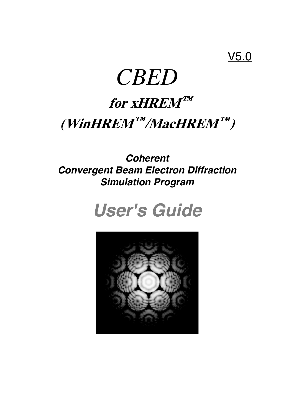### V5.0

# *CBED*

## **for xHREM™ (WinHREM™/MacHREM™)**

### *Coherent Convergent Beam Electron Diffraction Simulation Program*

## *User's Guide*

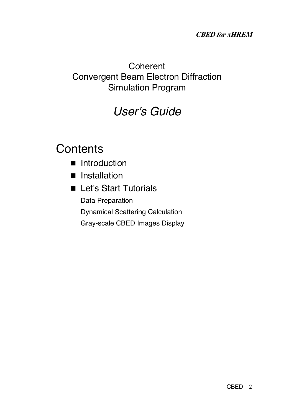### **CBED for xHREM**

### **Coherent** Convergent Beam Electron Diffraction Simulation Program

### *User's Guide*

### **Contents**

- Introduction
- **n** Installation
- **E** Let's Start Tutorials Data Preparation Dynamical Scattering Calculation Gray-scale CBED Images Display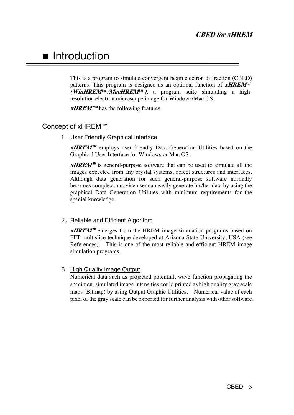### **n** Introduction

This is a program to simulate convergent beam electron diffraction (CBED) patterns. This program is designed as an optional function of **xHREM***™* **(WinHREM***™***/MacHREM***™***)**, a program suite simulating a highresolution electron microscope image for Windows/Mac OS.

*xHREM™* has the following features.

#### Concept of xHREM™

1. User Friendly Graphical Interface

*xHREM*<sup>™</sup> employs user friendly Data Generation Utilities based on the Graphical User Interface for Windows or Mac OS.

*xHREM*<sup> $M$ </sup> is general-purpose software that can be used to simulate all the images expected from any crystal systems, defect structures and interfaces. Although data generation for such general-purpose software normally becomes complex, a novice user can easily generate his/her data by using the graphical Data Generation Utilities with minimum requirements for the special knowledge.

#### 2. Reliable and Efficient Algorithm

*xHREM*<sup> $M$ </sup> emerges from the HREM image simulation programs based on FFT multislice technique developed at Arizona State University, USA (see References). This is one of the most reliable and efficient HREM image simulation programs.

#### 3. High Quality Image Output

Numerical data such as projected potential, wave function propagating the specimen, simulated image intensities could printed as high quality gray scale maps (Bitmap) by using Output Graphic Utilities. Numerical value of each pixel of the gray scale can be exported for further analysis with other software.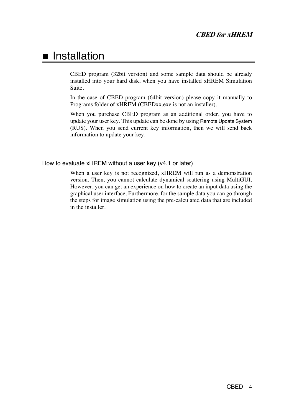### **n** Installation

CBED program (32bit version) and some sample data should be already installed into your hard disk, when you have installed xHREM Simulation Suite.

In the case of CBED program (64bit version) please copy it manually to Programs folder of xHREM (CBEDxx.exe is not an installer).

When you purchase CBED program as an additional order, you have to update your user key. This update can be done by using Remote Update System (RUS). When you send current key information, then we will send back information to update your key.

#### How to evaluate xHREM without a user key (v4.1 or later)

When a user key is not recognized, xHREM will run as a demonstration version. Then, you cannot calculate dynamical scattering using MultiGUI, However, you can get an experience on how to create an input data using the graphical user interface. Furthermore, for the sample data you can go through the steps for image simulation using the pre-calculated data that are included in the installer.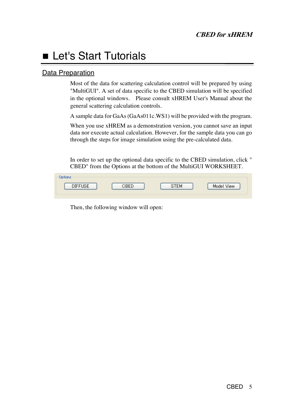### **E** Let's Start Tutorials

### Data Preparation

Most of the data for scattering calculation control will be prepared by using "MultiGUI". A set of data specific to the CBED simulation will be specified in the optional windows. Please consult xHREM User's Manual about the general scattering calculation controls.

A sample data for GaAs (GaAs011c.WS1) will be provided with the program.

When you use xHREM as a demonstration version, you cannot save an input data nor execute actual calculation. However, for the sample data you can go through the steps for image simulation using the pre-calculated data.

In order to set up the optional data specific to the CBED simulation, click " CBED" from the Options at the bottom of the MultiGUI WORKSHEET.

| Options.       |     |       |            |
|----------------|-----|-------|------------|
| <b>DIFFUSE</b> | --- | -다세 - | Model View |

Then, the following window will open: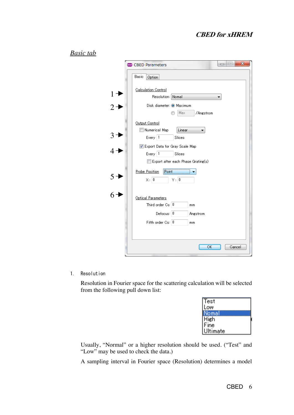### **CBED for xHREM**

#### *Basic tab*

|                | $\mathbf{x}$<br>$\Box$ $\Box$<br><b>GBB</b> CBED Parameters                                 |
|----------------|---------------------------------------------------------------------------------------------|
|                | Basic<br>Option                                                                             |
| $1 +$<br>$2 +$ | <b>Calculation Control</b><br>Resolution: Nomal                                             |
|                | Disk diameter: @ Maximum<br>Max<br>/Angstrom                                                |
|                | Output Control<br>Numerical Map<br>Linear<br>Every 1<br>Slices                              |
|                | Export Data for Gray Scale Map<br>Every   1<br>Slices<br>Export after each Phase Grating(s) |
| $5 +$          | Point<br><b>Probe Position</b><br>$\times: 0$<br>Y: [0]                                     |
|                | Optical Parameters<br>Third order $Cs$ $ 0 $<br>mm                                          |
|                | Defocus: 0<br>Angstrom<br>Fifth order Cs: 0<br>mm                                           |
|                | OK<br>Cancel                                                                                |

1. Resolution

Resolution in Fourier space for the scattering calculation will be selected from the following pull down list:

Usually, "Normal" or a higher resolution should be used. ("Test" and "Low" may be used to check the data.)

A sampling interval in Fourier space (Resolution) determines a model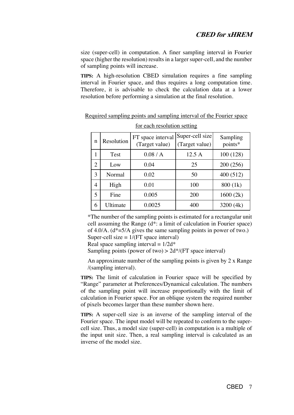size (super-cell) in computation. A finer sampling interval in Fourier space (higher the resolution) results in a larger super-cell, and the number of sampling points will increase.

**TIPS:** A high-resolution CBED simulation requires a fine sampling interval in Fourier space, and thus requires a long computation time. Therefore, it is advisable to check the calculation data at a lower resolution before performing a simulation at the final resolution.

| n              | Resolution | FT space interval<br>(Target value) | Super-cell size<br>(Target value) | Sampling<br>points* |
|----------------|------------|-------------------------------------|-----------------------------------|---------------------|
|                | Test       | 0.08/A                              | 12.5 A                            | 100(128)            |
| $\overline{2}$ | Low        | 0.04                                | 25                                | 200 (256)           |
| 3              | Normal     | 0.02                                | 50                                | 400 (512)           |
| 4              | High       | 0.01                                | 100                               | 800 (1k)            |
| 5              | Fine       | 0.005                               | 200                               | 1600(2k)            |
| 6              | Ultimate   | 0.0025                              | 400                               | 3200 (4k)           |

Required sampling points and sampling interval of the Fourier space for each resolution setting

\*The number of the sampling points is estimated for a rectangular unit cell assuming the Range (d\*: a limit of calculation in Fourier space) of 4.0/A.  $(d^*=5/A)$  gives the same sampling points in power of two.) Super-cell size  $= 1/(FT)$  space interval)

Real space sampling interval =  $1/2d^*$ 

Sampling points (power of two)  $> 2d^*/(FT)$  space interval)

An approximate number of the sampling points is given by 2 x Range /(sampling interval).

**TIPS:** The limit of calculation in Fourier space will be specified by "Range" parameter at Preferences/Dynamical calculation. The numbers of the sampling point will increase proportionally with the limit of calculation in Fourier space. For an oblique system the required number of pixels becomes larger than these number shown here.

**TIPS:** A super-cell size is an inverse of the sampling interval of the Fourier space. The input model will be repeated to conform to the supercell size. Thus, a model size (super-cell) in computation is a multiple of the input unit size. Then, a real sampling interval is calculated as an inverse of the model size.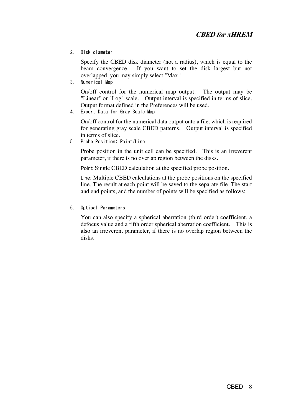2. Disk diameter

Specify the CBED disk diameter (not a radius), which is equal to the beam convergence. If you want to set the disk largest but not overlapped, you may simply select "Max."

3. Numerical Map

On/off control for the numerical map output. The output may be "Linear" or "Log" scale. Output interval is specified in terms of slice. Output format defined in the Preferences will be used.

4. Export Data for Gray Scale Map

On/off control for the numerical data output onto a file, which is required for generating gray scale CBED patterns. Output interval is specified in terms of slice.

5. Probe Position: Point/Line

Probe position in the unit cell can be specified. This is an irreverent parameter, if there is no overlap region between the disks.

Point: Single CBED calculation at the specified probe position.

Line: Multiple CBED calculations at the probe positions on the specified line. The result at each point will be saved to the separate file. The start and end points, and the number of points will be specified as follows:

6. Optical Parameters

You can also specify a spherical aberration (third order) coefficient, a defocus value and a fifth order spherical aberration coefficient. This is also an irreverent parameter, if there is no overlap region between the disks.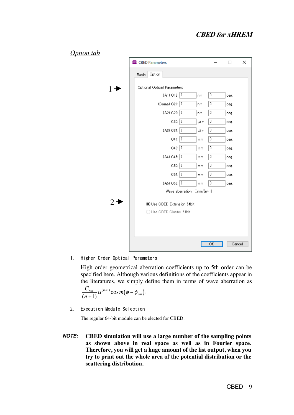| <b>Option tab</b> |                                   |                  |             |
|-------------------|-----------------------------------|------------------|-------------|
|                   | <b>CBED Parameters</b>            |                  | ×<br>$\Box$ |
|                   | Option<br>Basic                   |                  |             |
| $1 \rightarrow$   | Optional Optical Parameters       |                  |             |
|                   | $(A1)$ C12: $0$<br>nm             | 0                | deg.        |
|                   | (Coma) C21: $\boxed{0}$<br>nm.    | 0                | deg.        |
|                   | (A2) C23: 0<br>nm                 | $\mathbf 0$      | deg.        |
|                   | C32: 0<br>$\mu$ m                 | 0                | deg.        |
|                   | $($ A3 $)$ C34: $ 0 $<br>$\mu$ m  | 0                | deg.        |
|                   | C41: 0<br>mm                      | 0                | deg.        |
|                   | C43: 0<br>mm                      | $\theta$         | deg.        |
|                   | $(A4)$ C45: $\boxed{0}$<br>mm     | 0                | deg.        |
|                   | C52:<br>mm                        | 0                | deg.        |
|                   | C54: 0<br>mm                      | 0                | deg.        |
|                   | ( A5) C56: 0<br>mm                | $\boldsymbol{0}$ | deg.        |
|                   | Wave aberration : Cnm/(n+1)       |                  |             |
| $2 \rightarrow$   | <b>O</b> Use CBED Extension 64bit |                  |             |
|                   | ◯ Use CBED Cluster 64bit          |                  |             |
|                   |                                   |                  |             |
|                   |                                   |                  |             |
|                   |                                   |                  |             |
|                   |                                   | <b>OK</b>        | Cancel      |

1. Higher Order Optical Parameters

High order geometrical aberration coefficients up to 5th order can be specified here. Although various definitions of the coefficients appear in the literatures, we simply define them in terms of wave aberration as

$$
\frac{C_{nm}}{(n+1)}\alpha^{(n+1)}\cos m(\phi-\phi_{nm}).
$$

2. Execution Module Selection

The regular 64-bit module can be elected for CBED.

*NOTE:* **CBED simulation will use a large number of the sampling points as shown above in real space as well as in Fourier space. Therefore, you will get a huge amount of the list output, when you try to print out the whole area of the potential distribution or the scattering distribution.**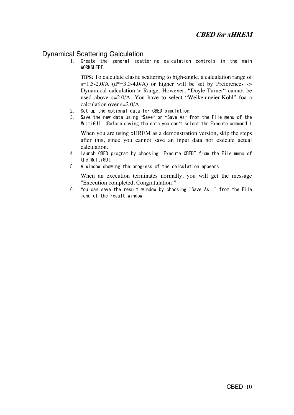### **Dynamical Scattering Calculation**

1. Create the general scattering calculation controls in the main WORKSHEET.

**TIPS:** To calculate elastic scattering to high-angle, a calculation range of  $s=1.5-2.0/A$  (d\*=3.0-4.0/A) or higher will be set by Preferences -> Dynamical calculation > Range. However, "Doyle-Turner" cannot be used above s=2.0/A. You have to select "Weikenmeier-Kohl" foa a calculation over s=2.0/A.

- 2. Set up the optional data for CBED simulation.
- 3. Save the new data using "Save" or "Save As" from the File menu of the MultiGUI. (Before saving the data you can't select the Execute command.)

When you are using xHREM as a demonstration version, skip the steps after this, since you cannot save an input data nor execute actual calculation.

- 4. Launch CBED program by choosing "Execute CBED" from the File menu of the MultiGUI.
- 5. A window showing the progress of the calculation appears.

When an execution terminates normally, you will get the message "Execution completed. Congratulation!"

6. You can save the result window by choosing "Save As…" from the File menu of the result window.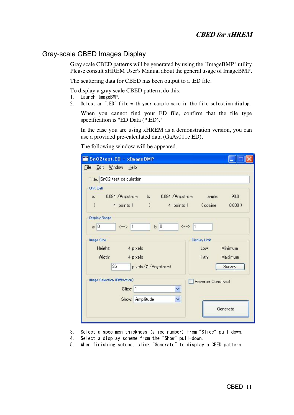#### **CBED for xHREM**

#### Gray-scale CBED Images Display

Gray scale CBED patterns will be generated by using the "ImageBMP" utility. Please consult xHREM User's Manual about the general usage of ImageBMP.

The scattering data for CBED has been output to a .ED file.

To display a gray scale CBED pattern, do this:

- 1. Launch ImageBMP.
- 2. Select an ".ED" file with your sample name in the file selection dialog.

When you cannot find your ED file, confirm that the file type specification is "ED Data (\*.ED)."

In the case you are using xHREM as a demonstration version, you can use a provided pre-calculated data (GaAs011c.ED).

The following window will be appeared.

| SnO2test.ED - xImageBMP                                   |                                           |  |
|-----------------------------------------------------------|-------------------------------------------|--|
| Window<br>Eile Edit<br>$He$ lp                            |                                           |  |
| Title: SnO2 test calculation                              |                                           |  |
| <b>Uhit Cell</b>                                          |                                           |  |
| 0.084 / Angstrom b: 0.084 / Angstrom<br>a:                | angle:<br>90.0                            |  |
| 4 points ) (<br>€                                         | 4 points) (cosine<br>$0.000$ )            |  |
| Display Range                                             |                                           |  |
| b: 0<br>a: 0<br>$\leftarrow$ 1                            | $\left\langle \rightarrow\right\rangle$ 1 |  |
| <b>Image Size</b>                                         | Display Limit                             |  |
| Height:<br>4 pixels                                       | Minimum<br>Low:                           |  |
| Width:<br>4 pixels                                        | High:<br>Maximum                          |  |
| 36<br>pixels/(1/Angstrom)                                 | Survey                                    |  |
| Image Selection (Diffraction)<br><b>Reverse Constrast</b> |                                           |  |
| Slice: 1<br>v                                             |                                           |  |
| Amplitude<br>v<br>Show:                                   |                                           |  |
|                                                           | Generate                                  |  |
|                                                           |                                           |  |

- 3. Select a specimen thickness (slice number) from "Slice" pull-down.
- 4. Select a display scheme from the "Show" pull-down.
- 5. When finishing setups, click "Generate" to display a CBED pattern.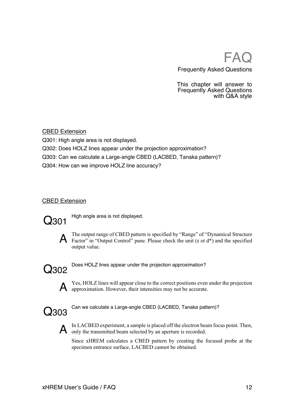### FA<sub>(</sub> Frequently Asked Questions

This chapter will answer to Frequently Asked Questions with Q&A style

#### CBED Extension

Q301: High angle area is not displayed.

- Q302: Does HOLZ lines appear under the projection approximation?
- Q303: Can we calculate a Large-angle CBED (LACBED, Tanaka pattern)?

Q304: How can we improve HOLZ line accuracy?

#### **CBED Extension**



**Q301** High angle area is not displayed.



A The output range of CBED pattern is specified by "Range" of "Dynamical Structure<br>Factor" in "Output Control" pane. Please check the unit (s ot d\*) and the specified output value.



Q302 Does HOLZ lines appear under the projection approximation?

A Yes, HOLZ lines will appear close to the correct positions even under the projection approximation. However, their intensities may not be accurate.



Can we calculate a Large-angle CBED (LACBED, Tanaka pattern)?



A In LACBED experiment, a sample is placed off the electron beam focus point. Then, only the transmitted beam selected by an aperture is recorded.

Since xHREM calculates a CBED pattern by creating the focused probe at the specimen entrance surface, LACBED cannot be obtained.